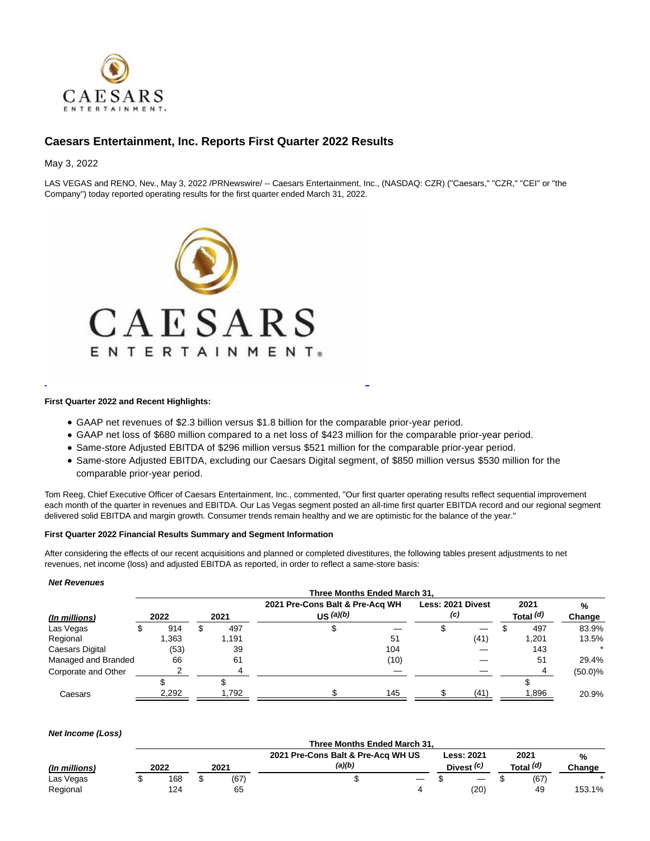

# **Caesars Entertainment, Inc. Reports First Quarter 2022 Results**

May 3, 2022

LAS VEGAS and RENO, Nev., May 3, 2022 /PRNewswire/ -- Caesars Entertainment, Inc., (NASDAQ: CZR) ("Caesars," "CZR," "CEI" or "the Company") today reported operating results for the first quarter ended March 31, 2022.



## **First Quarter 2022 and Recent Highlights:**

- GAAP net revenues of \$2.3 billion versus \$1.8 billion for the comparable prior-year period.
- GAAP net loss of \$680 million compared to a net loss of \$423 million for the comparable prior-year period.
- Same-store Adjusted EBITDA of \$296 million versus \$521 million for the comparable prior-year period.
- Same-store Adjusted EBITDA, excluding our Caesars Digital segment, of \$850 million versus \$530 million for the comparable prior-year period.

L

Tom Reeg, Chief Executive Officer of Caesars Entertainment, Inc., commented, "Our first quarter operating results reflect sequential improvement each month of the quarter in revenues and EBITDA. Our Las Vegas segment posted an all-time first quarter EBITDA record and our regional segment delivered solid EBITDA and margin growth. Consumer trends remain healthy and we are optimistic for the balance of the year."

#### **First Quarter 2022 Financial Results Summary and Segment Information**

After considering the effects of our recent acquisitions and planned or completed divestitures, the following tables present adjustments to net revenues, net income (loss) and adjusted EBITDA as reported, in order to reflect a same-store basis:

#### **Net Revenues**

|                     | Three Months Ended March 31. |       |  |       |                                 |           |      |                   |      |  |           |            |
|---------------------|------------------------------|-------|--|-------|---------------------------------|-----------|------|-------------------|------|--|-----------|------------|
|                     |                              |       |  |       | 2021 Pre-Cons Balt & Pre-Acq WH |           |      | Less: 2021 Divest |      |  | 2021      | %          |
| (In millions)       |                              | 2022  |  | 2021  |                                 | US (a)(b) |      | (c)               |      |  | Total (d) | Change     |
| Las Vegas           |                              | 914   |  | 497   |                                 |           |      |                   |      |  | 497       | 83.9%      |
| Regional            |                              | 1,363 |  | 1,191 |                                 |           | 51   |                   | (41) |  | 1,201     | 13.5%      |
| Caesars Digital     |                              | (53)  |  | 39    |                                 |           | 104  |                   |      |  | 143       |            |
| Managed and Branded |                              | 66    |  | 61    |                                 |           | (10) |                   |      |  | 51        | 29.4%      |
| Corporate and Other |                              |       |  |       |                                 |           |      |                   |      |  | $\Delta$  | $(50.0)\%$ |
|                     |                              |       |  |       |                                 |           |      |                   |      |  |           |            |
| Caesars             |                              | 2,292 |  | 1,792 |                                 |           | 145  |                   | (41) |  | 1,896     | 20.9%      |

#### **Net Income (Loss)**

|               | Three Months Ended March 31. |  |      |                                              |   |                                 |  |                   |             |  |  |  |
|---------------|------------------------------|--|------|----------------------------------------------|---|---------------------------------|--|-------------------|-------------|--|--|--|
| (In millions) | 2022                         |  | 2021 | 2021 Pre-Cons Balt & Pre-Acq WH US<br>(a)(b) |   | <b>Less: 2021</b><br>Divest (c) |  | 2021<br>Total (d) | %<br>Change |  |  |  |
| Las Vegas     | 168                          |  | (67) |                                              | — |                                 |  | (67)              |             |  |  |  |
| Regional      | 124                          |  | 65   |                                              |   | (20)                            |  | 49                | 153.1%      |  |  |  |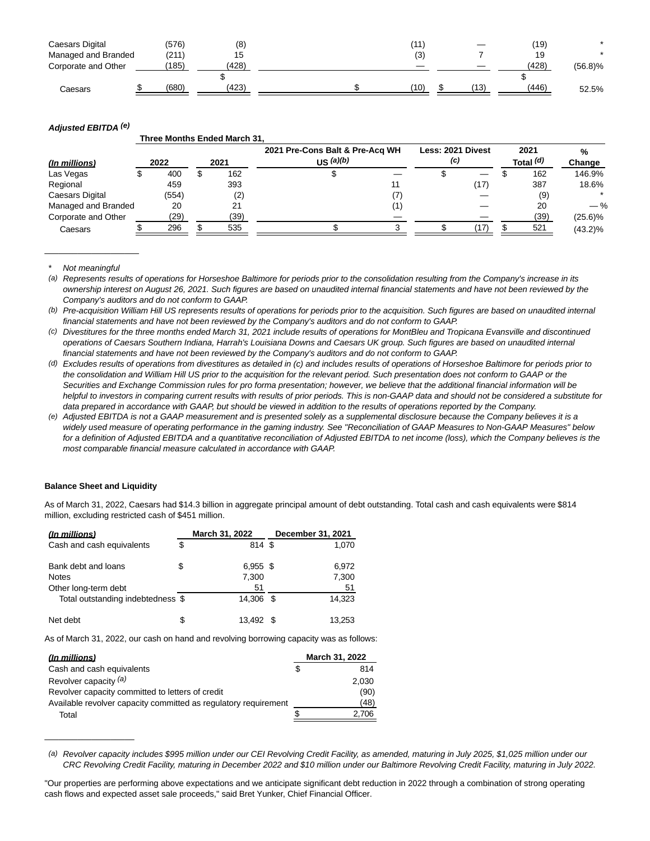| Caesars Digital     | (576) | (8)   | (11) | –    | (19)  |         |
|---------------------|-------|-------|------|------|-------|---------|
| Managed and Branded | (211) | 5 ا   | (3)  |      | 19    |         |
| Corporate and Other | (185) | (428) |      |      | (428) | (56.8)% |
|                     |       |       |      |      |       |         |
| Caesars             | (680) | (423) | (10) | (13) | (446) | 52.5%   |

## **Adjusted EBITDA (e)**

|                        |      |       |      | Three Months Ended March 31. |                                              |     |                   |  |                   |             |
|------------------------|------|-------|------|------------------------------|----------------------------------------------|-----|-------------------|--|-------------------|-------------|
| (In millions)          | 2022 |       | 2021 |                              | 2021 Pre-Cons Balt & Pre-Acq WH<br>US (a)(b) | (c) | Less: 2021 Divest |  | 2021<br>Total (d) | %<br>Change |
| Las Vegas              |      | 400   |      | 162                          |                                              |     |                   |  | 162               | 146.9%      |
| Regional               |      | 459   |      | 393                          |                                              |     | (17)              |  | 387               | 18.6%       |
| <b>Caesars Digital</b> |      | (554) |      | (2)                          |                                              |     |                   |  | (9)               |             |
| Managed and Branded    |      | 20    |      | 21                           |                                              |     |                   |  | 20                | $-$ %       |
| Corporate and Other    |      | (29)  |      | (39)                         |                                              |     |                   |  | (39)              | $(25.6)\%$  |
| Caesars                |      | 296   |      | 535                          |                                              |     | '17)              |  | 521               | $(43.2)\%$  |

Not meaningful

 $\_$ 

(a) Represents results of operations for Horseshoe Baltimore for periods prior to the consolidation resulting from the Company's increase in its ownership interest on August 26, 2021. Such figures are based on unaudited internal financial statements and have not been reviewed by the Company's auditors and do not conform to GAAP.

(b) Pre-acquisition William Hill US represents results of operations for periods prior to the acquisition. Such figures are based on unaudited internal financial statements and have not been reviewed by the Company's auditors and do not conform to GAAP.

(c) Divestitures for the three months ended March 31, 2021 include results of operations for MontBleu and Tropicana Evansville and discontinued operations of Caesars Southern Indiana, Harrah's Louisiana Downs and Caesars UK group. Such figures are based on unaudited internal financial statements and have not been reviewed by the Company's auditors and do not conform to GAAP.

- (d) Excludes results of operations from divestitures as detailed in (c) and includes results of operations of Horseshoe Baltimore for periods prior to the consolidation and William Hill US prior to the acquisition for the relevant period. Such presentation does not conform to GAAP or the Securities and Exchange Commission rules for pro forma presentation; however, we believe that the additional financial information will be helpful to investors in comparing current results with results of prior periods. This is non-GAAP data and should not be considered a substitute for data prepared in accordance with GAAP, but should be viewed in addition to the results of operations reported by the Company.
- (e) Adjusted EBITDA is not a GAAP measurement and is presented solely as a supplemental disclosure because the Company believes it is a widely used measure of operating performance in the gaming industry. See "Reconciliation of GAAP Measures to Non-GAAP Measures" below for a definition of Adjusted EBITDA and a quantitative reconciliation of Adjusted EBITDA to net income (loss), which the Company believes is the most comparable financial measure calculated in accordance with GAAP.

## **Balance Sheet and Liquidity**

 $\overline{\phantom{a}}$  , where  $\overline{\phantom{a}}$  , where  $\overline{\phantom{a}}$  , where  $\overline{\phantom{a}}$ 

As of March 31, 2022, Caesars had \$14.3 billion in aggregate principal amount of debt outstanding. Total cash and cash equivalents were \$814 million, excluding restricted cash of \$451 million.

| <u>(In millions)</u>                |    | March 31, 2022      | December 31, 2021 |  |  |  |
|-------------------------------------|----|---------------------|-------------------|--|--|--|
| Cash and cash equivalents           | S  | 814 \$              | 1,070             |  |  |  |
| Bank debt and loans<br><b>Notes</b> | \$ | $6,955$ \$<br>7,300 | 6.972<br>7,300    |  |  |  |
| Other long-term debt                |    | 51                  | 51                |  |  |  |
| Total outstanding indebtedness \$   |    | 14.306 \$           | 14,323            |  |  |  |
| Net debt                            | \$ | 13.492              | 13,253            |  |  |  |

As of March 31, 2022, our cash on hand and revolving borrowing capacity was as follows:

| (In millions)                                                   | March 31, 2022 |       |  |
|-----------------------------------------------------------------|----------------|-------|--|
| Cash and cash equivalents                                       |                | 814   |  |
| Revolver capacity (a)                                           |                | 2,030 |  |
| Revolver capacity committed to letters of credit                |                | (90)  |  |
| Available revolver capacity committed as regulatory requirement |                | (48)  |  |
| Total                                                           |                | 2.706 |  |

(a) Revolver capacity includes \$995 million under our CEI Revolving Credit Facility, as amended, maturing in July 2025, \$1,025 million under our CRC Revolving Credit Facility, maturing in December 2022 and \$10 million under our Baltimore Revolving Credit Facility, maturing in July 2022.

<sup>&</sup>quot;Our properties are performing above expectations and we anticipate significant debt reduction in 2022 through a combination of strong operating cash flows and expected asset sale proceeds," said Bret Yunker, Chief Financial Officer.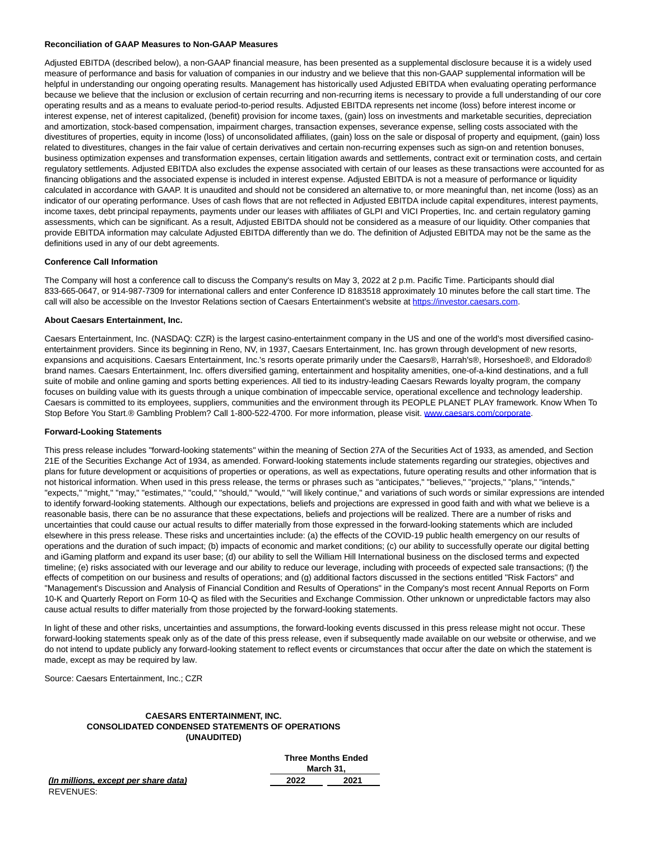#### **Reconciliation of GAAP Measures to Non-GAAP Measures**

Adjusted EBITDA (described below), a non-GAAP financial measure, has been presented as a supplemental disclosure because it is a widely used measure of performance and basis for valuation of companies in our industry and we believe that this non-GAAP supplemental information will be helpful in understanding our ongoing operating results. Management has historically used Adjusted EBITDA when evaluating operating performance because we believe that the inclusion or exclusion of certain recurring and non-recurring items is necessary to provide a full understanding of our core operating results and as a means to evaluate period-to-period results. Adjusted EBITDA represents net income (loss) before interest income or interest expense, net of interest capitalized, (benefit) provision for income taxes, (gain) loss on investments and marketable securities, depreciation and amortization, stock-based compensation, impairment charges, transaction expenses, severance expense, selling costs associated with the divestitures of properties, equity in income (loss) of unconsolidated affiliates, (gain) loss on the sale or disposal of property and equipment, (gain) loss related to divestitures, changes in the fair value of certain derivatives and certain non-recurring expenses such as sign-on and retention bonuses, business optimization expenses and transformation expenses, certain litigation awards and settlements, contract exit or termination costs, and certain regulatory settlements. Adjusted EBITDA also excludes the expense associated with certain of our leases as these transactions were accounted for as financing obligations and the associated expense is included in interest expense. Adjusted EBITDA is not a measure of performance or liquidity calculated in accordance with GAAP. It is unaudited and should not be considered an alternative to, or more meaningful than, net income (loss) as an indicator of our operating performance. Uses of cash flows that are not reflected in Adjusted EBITDA include capital expenditures, interest payments, income taxes, debt principal repayments, payments under our leases with affiliates of GLPI and VICI Properties, Inc. and certain regulatory gaming assessments, which can be significant. As a result, Adjusted EBITDA should not be considered as a measure of our liquidity. Other companies that provide EBITDA information may calculate Adjusted EBITDA differently than we do. The definition of Adjusted EBITDA may not be the same as the definitions used in any of our debt agreements.

#### **Conference Call Information**

The Company will host a conference call to discuss the Company's results on May 3, 2022 at 2 p.m. Pacific Time. Participants should dial 833-665-0647, or 914-987-7309 for international callers and enter Conference ID 8183518 approximately 10 minutes before the call start time. The call will also be accessible on the Investor Relations section of Caesars Entertainment's website at [https://investor.caesars.com.](https://investor.caesars.com/)

#### **About Caesars Entertainment, Inc.**

Caesars Entertainment, Inc. (NASDAQ: CZR) is the largest casino-entertainment company in the US and one of the world's most diversified casinoentertainment providers. Since its beginning in Reno, NV, in 1937, Caesars Entertainment, Inc. has grown through development of new resorts, expansions and acquisitions. Caesars Entertainment, Inc.'s resorts operate primarily under the Caesars®, Harrah's®, Horseshoe®, and Eldorado® brand names. Caesars Entertainment, Inc. offers diversified gaming, entertainment and hospitality amenities, one-of-a-kind destinations, and a full suite of mobile and online gaming and sports betting experiences. All tied to its industry-leading Caesars Rewards loyalty program, the company focuses on building value with its guests through a unique combination of impeccable service, operational excellence and technology leadership. Caesars is committed to its employees, suppliers, communities and the environment through its PEOPLE PLANET PLAY framework. Know When To Stop Before You Start.® Gambling Problem? Call 1-800-522-4700. For more information, please visit. [www.caesars.com/corporate.](http://www.caesars.com/corporate)

#### **Forward-Looking Statements**

This press release includes "forward-looking statements" within the meaning of Section 27A of the Securities Act of 1933, as amended, and Section 21E of the Securities Exchange Act of 1934, as amended. Forward-looking statements include statements regarding our strategies, objectives and plans for future development or acquisitions of properties or operations, as well as expectations, future operating results and other information that is not historical information. When used in this press release, the terms or phrases such as "anticipates," "believes," "projects," "plans," "intends," "expects," "might," "may," "estimates," "could," "should," "would," "will likely continue," and variations of such words or similar expressions are intended to identify forward-looking statements. Although our expectations, beliefs and projections are expressed in good faith and with what we believe is a reasonable basis, there can be no assurance that these expectations, beliefs and projections will be realized. There are a number of risks and uncertainties that could cause our actual results to differ materially from those expressed in the forward-looking statements which are included elsewhere in this press release. These risks and uncertainties include: (a) the effects of the COVID-19 public health emergency on our results of operations and the duration of such impact; (b) impacts of economic and market conditions; (c) our ability to successfully operate our digital betting and iGaming platform and expand its user base; (d) our ability to sell the William Hill International business on the disclosed terms and expected timeline; (e) risks associated with our leverage and our ability to reduce our leverage, including with proceeds of expected sale transactions; (f) the effects of competition on our business and results of operations; and (g) additional factors discussed in the sections entitled "Risk Factors" and "Management's Discussion and Analysis of Financial Condition and Results of Operations" in the Company's most recent Annual Reports on Form 10-K and Quarterly Report on Form 10-Q as filed with the Securities and Exchange Commission. Other unknown or unpredictable factors may also cause actual results to differ materially from those projected by the forward-looking statements.

In light of these and other risks, uncertainties and assumptions, the forward-looking events discussed in this press release might not occur. These forward-looking statements speak only as of the date of this press release, even if subsequently made available on our website or otherwise, and we do not intend to update publicly any forward-looking statement to reflect events or circumstances that occur after the date on which the statement is made, except as may be required by law.

Source: Caesars Entertainment, Inc.; CZR

### **CAESARS ENTERTAINMENT, INC. CONSOLIDATED CONDENSED STATEMENTS OF OPERATIONS (UNAUDITED)**

| (In millions, except per share data) |  |
|--------------------------------------|--|
| REVENUES.                            |  |

| <b>Three Months Ended</b> |           |  |  |  |  |  |
|---------------------------|-----------|--|--|--|--|--|
|                           | March 31, |  |  |  |  |  |
| 2022                      | 2021      |  |  |  |  |  |
|                           |           |  |  |  |  |  |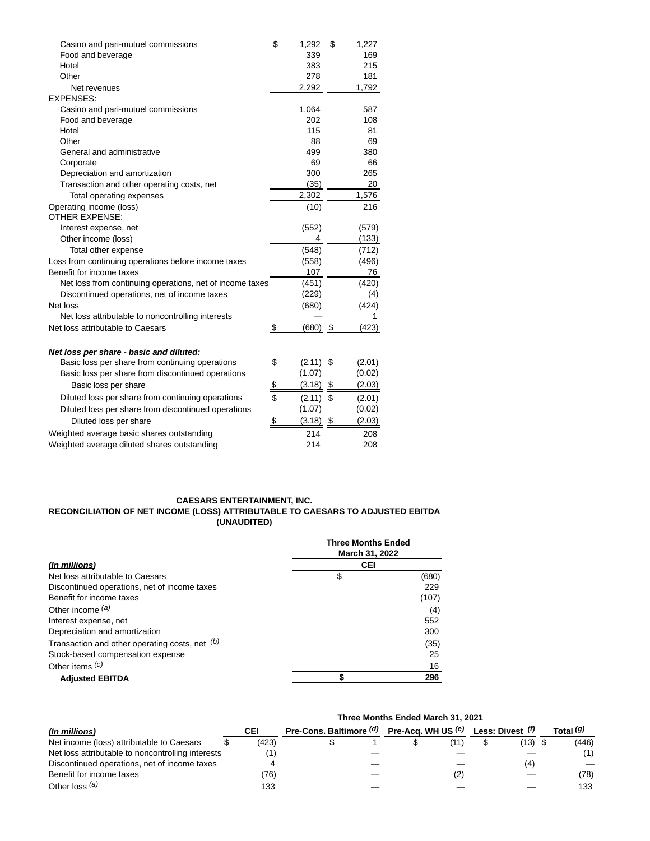| Food and beverage<br>339<br>383<br>Hotel<br>278<br>Other<br>2,292<br>Net revenues<br><b>EXPENSES:</b><br>1,064<br>Casino and pari-mutuel commissions<br>202<br>Food and beverage<br>115<br>Hotel<br>Other<br>88 | 169<br>215<br>181<br>1,792<br>587<br>108<br>81<br>69<br>380<br>66<br>265<br>20<br>1,576<br>216 |
|-----------------------------------------------------------------------------------------------------------------------------------------------------------------------------------------------------------------|------------------------------------------------------------------------------------------------|
|                                                                                                                                                                                                                 |                                                                                                |
|                                                                                                                                                                                                                 |                                                                                                |
|                                                                                                                                                                                                                 |                                                                                                |
|                                                                                                                                                                                                                 |                                                                                                |
|                                                                                                                                                                                                                 |                                                                                                |
|                                                                                                                                                                                                                 |                                                                                                |
|                                                                                                                                                                                                                 |                                                                                                |
|                                                                                                                                                                                                                 |                                                                                                |
|                                                                                                                                                                                                                 |                                                                                                |
| General and administrative<br>499                                                                                                                                                                               |                                                                                                |
| 69<br>Corporate                                                                                                                                                                                                 |                                                                                                |
| Depreciation and amortization<br>300                                                                                                                                                                            |                                                                                                |
| (35)<br>Transaction and other operating costs, net                                                                                                                                                              |                                                                                                |
| Total operating expenses<br>2,302                                                                                                                                                                               |                                                                                                |
| Operating income (loss)<br>(10)<br><b>OTHER EXPENSE:</b>                                                                                                                                                        |                                                                                                |
| (552)<br>Interest expense, net                                                                                                                                                                                  | (579)                                                                                          |
| Other income (loss)<br>4                                                                                                                                                                                        | (133)                                                                                          |
| (548)<br>Total other expense                                                                                                                                                                                    | (712)                                                                                          |
| Loss from continuing operations before income taxes<br>(558)                                                                                                                                                    | (496)                                                                                          |
| Benefit for income taxes<br>107                                                                                                                                                                                 | 76                                                                                             |
| Net loss from continuing operations, net of income taxes<br>(451)                                                                                                                                               | (420)                                                                                          |
| (229)<br>Discontinued operations, net of income taxes                                                                                                                                                           | (4)                                                                                            |
| Net loss<br>(680)                                                                                                                                                                                               | (424)                                                                                          |
| Net loss attributable to noncontrolling interests                                                                                                                                                               | 1                                                                                              |
| \$<br>(680)<br>\$<br>Net loss attributable to Caesars                                                                                                                                                           | (423)                                                                                          |
|                                                                                                                                                                                                                 |                                                                                                |
| Net loss per share - basic and diluted:                                                                                                                                                                         |                                                                                                |
| \$<br>Basic loss per share from continuing operations<br>(2.11)<br>\$                                                                                                                                           | (2.01)                                                                                         |
| (1.07)<br>Basic loss per share from discontinued operations                                                                                                                                                     | (0.02)                                                                                         |
| \$<br>$\frac{1}{2}$<br>(3.18)<br>Basic loss per share                                                                                                                                                           | (2.03)                                                                                         |
| \$<br>Diluted loss per share from continuing operations<br>$(2.11)$ \$                                                                                                                                          | (2.01)                                                                                         |
| (1.07)<br>Diluted loss per share from discontinued operations                                                                                                                                                   | (0.02)                                                                                         |
| $\frac{1}{2}$<br>\$<br>Diluted loss per share<br>(3.18)                                                                                                                                                         | (2.03)                                                                                         |
| Weighted average basic shares outstanding<br>214                                                                                                                                                                | 208                                                                                            |
| Weighted average diluted shares outstanding<br>214                                                                                                                                                              | 208                                                                                            |

## **CAESARS ENTERTAINMENT, INC. RECONCILIATION OF NET INCOME (LOSS) ATTRIBUTABLE TO CAESARS TO ADJUSTED EBITDA (UNAUDITED)**

|                                                | <b>Three Months Ended</b><br>March 31, 2022 |       |  |  |  |  |
|------------------------------------------------|---------------------------------------------|-------|--|--|--|--|
| (In millions)                                  | <b>CEI</b>                                  |       |  |  |  |  |
| Net loss attributable to Caesars               | \$                                          | (680) |  |  |  |  |
| Discontinued operations, net of income taxes   |                                             | 229   |  |  |  |  |
| Benefit for income taxes                       |                                             | (107) |  |  |  |  |
| Other income $(a)$                             |                                             | (4)   |  |  |  |  |
| Interest expense, net                          |                                             | 552   |  |  |  |  |
| Depreciation and amortization                  |                                             | 300   |  |  |  |  |
| Transaction and other operating costs, net (b) |                                             | (35)  |  |  |  |  |
| Stock-based compensation expense               |                                             | 25    |  |  |  |  |
| Other items $(c)$                              |                                             | 16    |  |  |  |  |
| <b>Adjusted EBITDA</b>                         |                                             | 296   |  |  |  |  |

|                                                   | Three Months Ended March 31, 2021 |       |                                            |  |  |      |  |                  |  |                      |  |
|---------------------------------------------------|-----------------------------------|-------|--------------------------------------------|--|--|------|--|------------------|--|----------------------|--|
| (In millions)                                     |                                   | CEI   | Pre-Cons. Baltimore (d) Pre-Acq. WH US (e) |  |  |      |  | Less: Divest (t) |  | Total <sup>(g)</sup> |  |
| Net income (loss) attributable to Caesars         |                                   | (423) |                                            |  |  | (11) |  | (13) \$          |  | (446)                |  |
| Net loss attributable to noncontrolling interests |                                   |       |                                            |  |  |      |  |                  |  | (1)                  |  |
| Discontinued operations, net of income taxes      |                                   |       |                                            |  |  |      |  | (4)              |  |                      |  |
| Benefit for income taxes                          |                                   | (76)  |                                            |  |  | (2)  |  |                  |  | (78)                 |  |
| Other $loss^{(a)}$                                |                                   | 133   |                                            |  |  |      |  |                  |  | 133                  |  |